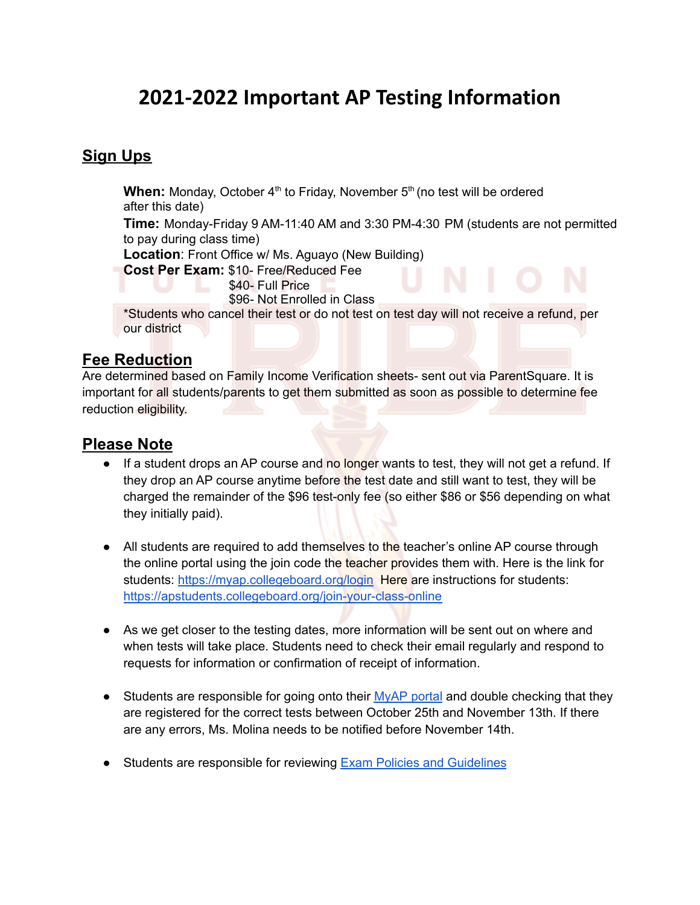# **2021-2022 Important AP Testing Information**

### **Sign Ups**

When: Monday, October 4<sup>th</sup> to Friday, November 5<sup>th</sup> (no test will be ordered after this date)

**Time:** Monday-Friday 9 AM-11:40 AM and 3:30 PM-4:30 PM (students are not permitted to pay during class time)

**Location**: Front Office w/ Ms. Aguayo (New Building)

**Cost Per Exam:** \$10- Free/Reduced Fee

\$40- Full Price

\$96- Not Enrolled in Class

\*Students who cancel their test or do not test on test day will not receive a refund, per our district

#### **Fee Reduction**

Are determined based on Family Income Verification sheets- sent out via ParentSquare. It is important for all students/parents to get them submitted as soon as possible to determine fee reduction eligibility.

#### **Please Note**

- If a student drops an AP course and no longer wants to test, they will not get a refund. If they drop an AP course anytime before the test date and still want to test, they will be charged the remainder of the \$96 test-only fee (so either \$86 or \$56 depending on what they initially paid).
- All students are required to add themselves to the teacher's online AP course through the online portal using the join code the teacher provides them with. Here is the link for students: <https://myap.collegeboard.org/login> Here are instructions for students: <https://apstudents.collegeboard.org/join-your-class-online>
- As we get closer to the testing dates, more information will be sent out on where and when tests will take place. Students need to check their email regularly and respond to requests for information or confirmation of receipt of information.
- Students are responsible for going onto their **[MyAP](https://myap.collegeboard.org/login)** portal and double checking that they are registered for the correct tests between October 25th and November 13th. If there are any errors, Ms. Molina needs to be notified before November 14th.
- Students are responsible for reviewing Exam Policies and [Guidelines](https://apstudents.collegeboard.org/exam-policies-guidelines)